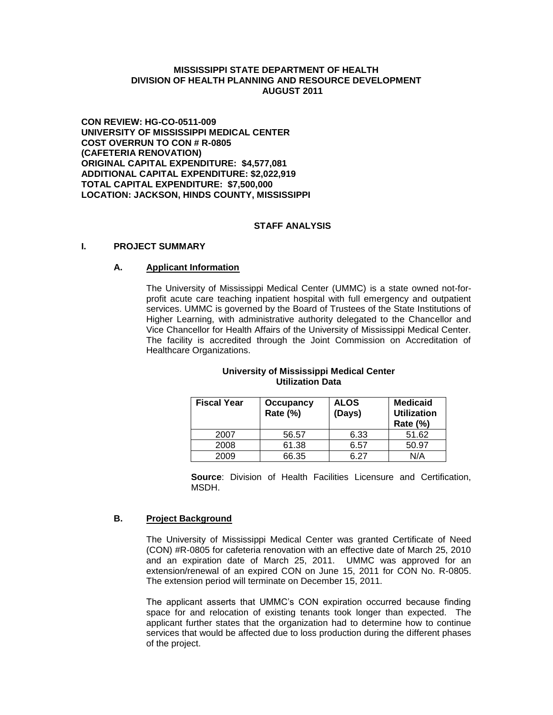### **MISSISSIPPI STATE DEPARTMENT OF HEALTH DIVISION OF HEALTH PLANNING AND RESOURCE DEVELOPMENT AUGUST 2011**

**CON REVIEW: HG-CO-0511-009 UNIVERSITY OF MISSISSIPPI MEDICAL CENTER COST OVERRUN TO CON # R-0805 (CAFETERIA RENOVATION) ORIGINAL CAPITAL EXPENDITURE: \$4,577,081 ADDITIONAL CAPITAL EXPENDITURE: \$2,022,919 TOTAL CAPITAL EXPENDITURE: \$7,500,000 LOCATION: JACKSON, HINDS COUNTY, MISSISSIPPI**

## **STAFF ANALYSIS**

#### **I. PROJECT SUMMARY**

#### **A. Applicant Information**

The University of Mississippi Medical Center (UMMC) is a state owned not-forprofit acute care teaching inpatient hospital with full emergency and outpatient services. UMMC is governed by the Board of Trustees of the State Institutions of Higher Learning, with administrative authority delegated to the Chancellor and Vice Chancellor for Health Affairs of the University of Mississippi Medical Center. The facility is accredited through the Joint Commission on Accreditation of Healthcare Organizations.

#### **University of Mississippi Medical Center Utilization Data**

| <b>Fiscal Year</b> | Occupancy<br><b>Rate (%)</b> | <b>ALOS</b><br>(Days) | <b>Medicaid</b><br><b>Utilization</b><br><b>Rate (%)</b> |
|--------------------|------------------------------|-----------------------|----------------------------------------------------------|
| 2007               | 56.57                        | 6.33                  | 51.62                                                    |
| 2008               | 61.38                        | 6.57                  | 50.97                                                    |
| 2009               | 66.35                        | հ 27                  | N/A                                                      |

**Source**: Division of Health Facilities Licensure and Certification, MSDH.

### **B. Project Background**

The University of Mississippi Medical Center was granted Certificate of Need (CON) #R-0805 for cafeteria renovation with an effective date of March 25, 2010 and an expiration date of March 25, 2011. UMMC was approved for an extension/renewal of an expired CON on June 15, 2011 for CON No. R-0805. The extension period will terminate on December 15, 2011.

The applicant asserts that UMMC's CON expiration occurred because finding space for and relocation of existing tenants took longer than expected. The applicant further states that the organization had to determine how to continue services that would be affected due to loss production during the different phases of the project.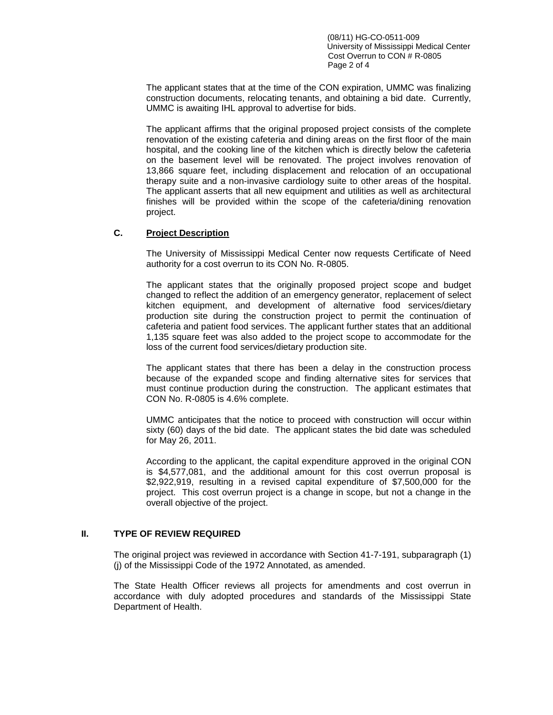(08/11) HG-CO-0511-009 University of Mississippi Medical Center Cost Overrun to CON # R-0805 Page 2 of 4

The applicant states that at the time of the CON expiration, UMMC was finalizing construction documents, relocating tenants, and obtaining a bid date. Currently, UMMC is awaiting IHL approval to advertise for bids.

The applicant affirms that the original proposed project consists of the complete renovation of the existing cafeteria and dining areas on the first floor of the main hospital, and the cooking line of the kitchen which is directly below the cafeteria on the basement level will be renovated. The project involves renovation of 13,866 square feet, including displacement and relocation of an occupational therapy suite and a non-invasive cardiology suite to other areas of the hospital. The applicant asserts that all new equipment and utilities as well as architectural finishes will be provided within the scope of the cafeteria/dining renovation project.

## **C. Project Description**

The University of Mississippi Medical Center now requests Certificate of Need authority for a cost overrun to its CON No. R-0805.

The applicant states that the originally proposed project scope and budget changed to reflect the addition of an emergency generator, replacement of select kitchen equipment, and development of alternative food services/dietary production site during the construction project to permit the continuation of cafeteria and patient food services. The applicant further states that an additional 1,135 square feet was also added to the project scope to accommodate for the loss of the current food services/dietary production site.

The applicant states that there has been a delay in the construction process because of the expanded scope and finding alternative sites for services that must continue production during the construction. The applicant estimates that CON No. R-0805 is 4.6% complete.

UMMC anticipates that the notice to proceed with construction will occur within sixty (60) days of the bid date. The applicant states the bid date was scheduled for May 26, 2011.

According to the applicant, the capital expenditure approved in the original CON is \$4,577,081, and the additional amount for this cost overrun proposal is \$2,922,919, resulting in a revised capital expenditure of \$7,500,000 for the project. This cost overrun project is a change in scope, but not a change in the overall objective of the project.

### **II. TYPE OF REVIEW REQUIRED**

The original project was reviewed in accordance with Section 41-7-191, subparagraph (1) (j) of the Mississippi Code of the 1972 Annotated, as amended.

The State Health Officer reviews all projects for amendments and cost overrun in accordance with duly adopted procedures and standards of the Mississippi State Department of Health.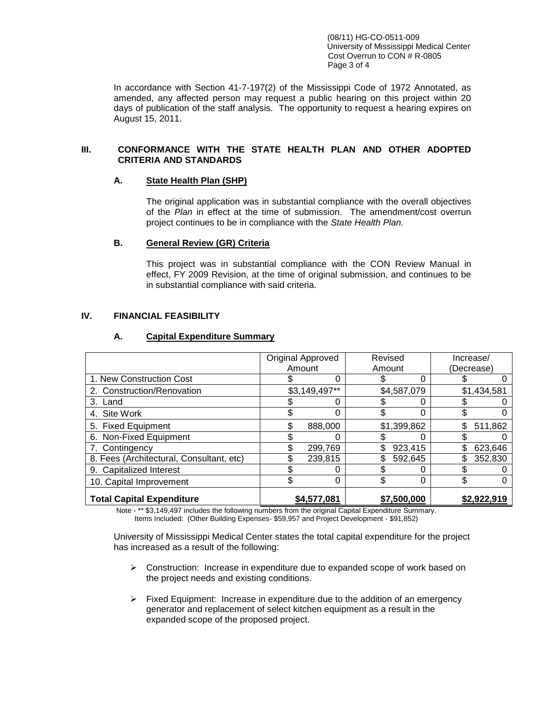(08/11) HG-CO-0511-009 University of Mississippi Medical Center Cost Overrun to CON # R-0805 Page 3 of 4

In accordance with Section 41-7-197(2) of the Mississippi Code of 1972 Annotated, as amended, any affected person may request a public hearing on this project within 20 days of publication of the staff analysis. The opportunity to request a hearing expires on August 15, 2011.

### **III. CONFORMANCE WITH THE STATE HEALTH PLAN AND OTHER ADOPTED CRITERIA AND STANDARDS**

### **A. State Health Plan (SHP)**

The original application was in substantial compliance with the overall objectives of the *Plan* in effect at the time of submission. The amendment/cost overrun project continues to be in compliance with the *State Health Plan.*

## **B. General Review (GR) Criteria**

This project was in substantial compliance with the CON Review Manual in effect, FY 2009 Revision, at the time of original submission, and continues to be in substantial compliance with said criteria.

## **IV. FINANCIAL FEASIBILITY**

|                                          | Original Approved<br>Amount |             | Revised<br>Amount |             | Increase/<br>(Decrease) |             |
|------------------------------------------|-----------------------------|-------------|-------------------|-------------|-------------------------|-------------|
| 1. New Construction Cost                 |                             | 0           |                   | 0           |                         |             |
| 2. Construction/Renovation               | \$3,149,497**               |             | \$4,587,079       |             | \$1,434,581             |             |
| 3. Land                                  |                             | 0           |                   | 0           |                         |             |
| 4. Site Work                             |                             | 0           | \$                | 0           | \$                      |             |
| 5. Fixed Equipment                       | \$                          | 888,000     |                   | \$1,399,862 | \$                      | 511,862     |
| 6. Non-Fixed Equipment                   |                             | 0           |                   |             |                         |             |
| 7. Contingency                           |                             | 299,769     | \$                | 923,415     | \$.                     | 623,646     |
| 8. Fees (Architectural, Consultant, etc) |                             | 239,815     | \$                | 592,645     | \$                      | 352,830     |
| 9. Capitalized Interest                  |                             | 0           |                   |             |                         |             |
| 10. Capital Improvement                  | \$                          | 0           | \$                | 0           | \$                      | O           |
| <b>Total Capital Expenditure</b>         |                             | \$4,577,081 |                   | \$7,500,000 |                         | \$2,922,919 |

#### **A. Capital Expenditure Summary**

Note - \*\* \$3,149,497 includes the following numbers from the original Capital Expenditure Summary. Items Included: (Other Building Expenses- \$59,957 and Project Development - \$91,852)

University of Mississippi Medical Center states the total capital expenditure for the project has increased as a result of the following:

- $\triangleright$  Construction: Increase in expenditure due to expanded scope of work based on the project needs and existing conditions.
- $\triangleright$  Fixed Equipment: Increase in expenditure due to the addition of an emergency generator and replacement of select kitchen equipment as a result in the expanded scope of the proposed project.